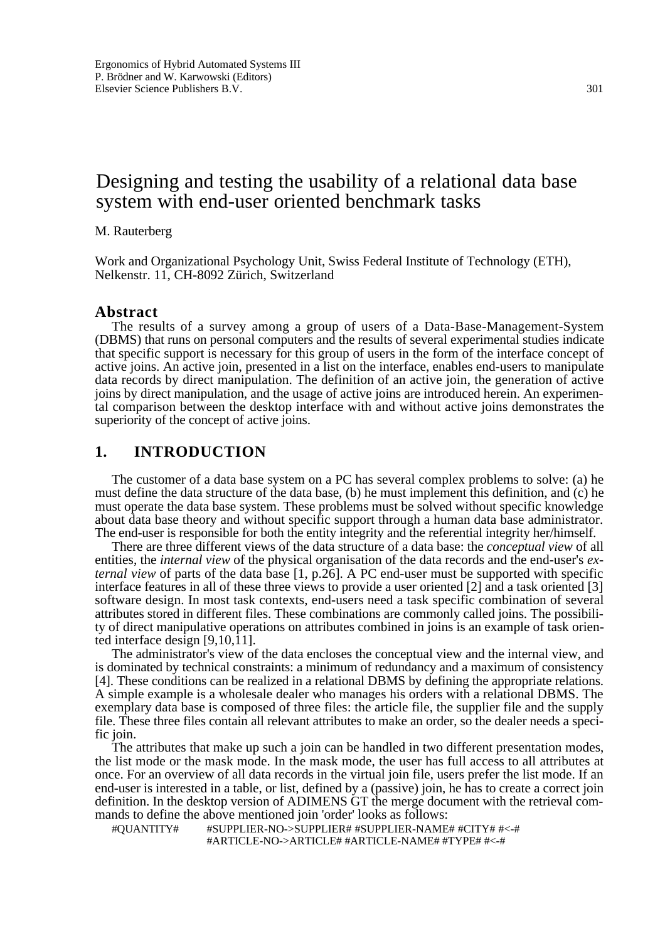# Designing and testing the usability of a relational data base system with end-user oriented benchmark tasks

#### M. Rauterberg

Work and Organizational Psychology Unit, Swiss Federal Institute of Technology (ETH), Nelkenstr. 11, CH-8092 Zürich, Switzerland

#### **Abstract**

The results of a survey among a group of users of a Data-Base-Management-System (DBMS) that runs on personal computers and the results of several experimental studies indicate that specific support is necessary for this group of users in the form of the interface concept of active joins. An active join, presented in a list on the interface, enables end-users to manipulate data records by direct manipulation. The definition of an active join, the generation of active joins by direct manipulation, and the usage of active joins are introduced herein. An experimental comparison between the desktop interface with and without active joins demonstrates the superiority of the concept of active joins.

# **1. INTRODUCTION**

The customer of a data base system on a PC has several complex problems to solve: (a) he must define the data structure of the data base, (b) he must implement this definition, and (c) he must operate the data base system. These problems must be solved without specific knowledge about data base theory and without specific support through a human data base administrator. The end-user is responsible for both the entity integrity and the referential integrity her/himself.

There are three different views of the data structure of a data base: the *conceptual view* of all entities, the *internal view* of the physical organisation of the data records and the end-user's *external view* of parts of the data base [1, p.26]. A PC end-user must be supported with specific interface features in all of these three views to provide a user oriented [2] and a task oriented [3] software design. In most task contexts, end-users need a task specific combination of several attributes stored in different files. These combinations are commonly called joins. The possibility of direct manipulative operations on attributes combined in joins is an example of task oriented interface design  $[9,10,\overline{11}]$ .

The administrator's view of the data encloses the conceptual view and the internal view, and is dominated by technical constraints: a minimum of redundancy and a maximum of consistency [4]. These conditions can be realized in a relational DBMS by defining the appropriate relations. A simple example is a wholesale dealer who manages his orders with a relational DBMS. The exemplary data base is composed of three files: the article file, the supplier file and the supply file. These three files contain all relevant attributes to make an order, so the dealer needs a specific join.

The attributes that make up such a join can be handled in two different presentation modes, the list mode or the mask mode. In the mask mode, the user has full access to all attributes at once. For an overview of all data records in the virtual join file, users prefer the list mode. If an end-user is interested in a table, or list, defined by a (passive) join, he has to create a correct join definition. In the desktop version of ADIMENS GT the merge document with the retrieval commands to define the above mentioned join 'order' looks as follows:

#QUANTITY# #SUPPLIER-NO->SUPPLIER# #SUPPLIER-NAME# #CITY# #<-# #ARTICLE-NO->ARTICLE# #ARTICLE-NAME# #TYPE# #<-#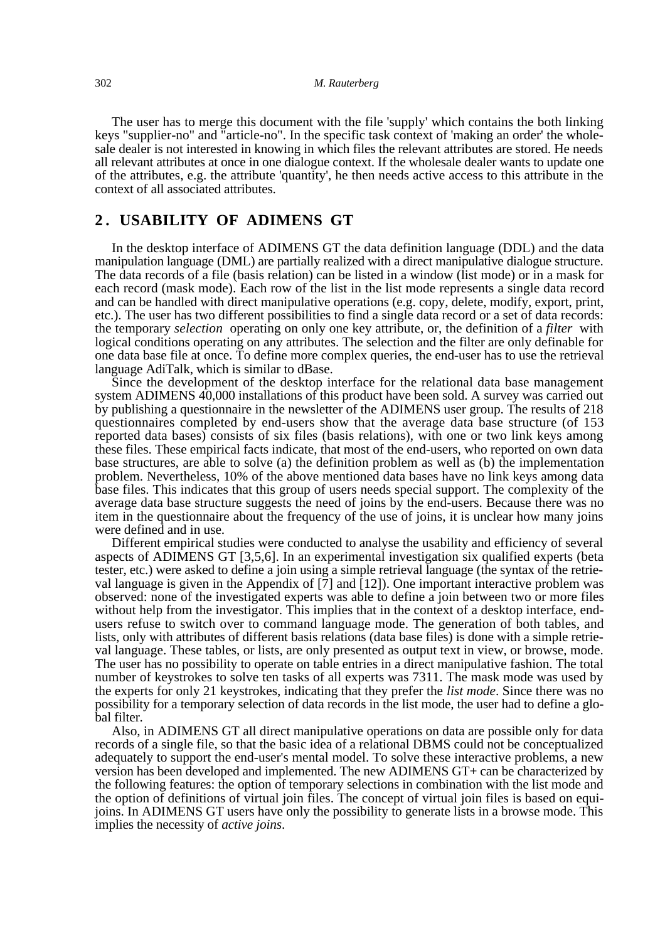The user has to merge this document with the file 'supply' which contains the both linking keys "supplier-no" and "article-no". In the specific task context of 'making an order' the wholesale dealer is not interested in knowing in which files the relevant attributes are stored. He needs all relevant attributes at once in one dialogue context. If the wholesale dealer wants to update one of the attributes, e.g. the attribute 'quantity', he then needs active access to this attribute in the context of all associated attributes.

#### **2 . USABILITY OF ADIMENS GT**

In the desktop interface of ADIMENS GT the data definition language (DDL) and the data manipulation language (DML) are partially realized with a direct manipulative dialogue structure. The data records of a file (basis relation) can be listed in a window (list mode) or in a mask for each record (mask mode). Each row of the list in the list mode represents a single data record and can be handled with direct manipulative operations (e.g. copy, delete, modify, export, print, etc.). The user has two different possibilities to find a single data record or a set of data records: the temporary *selection* operating on only one key attribute, or, the definition of a *filter* with logical conditions operating on any attributes. The selection and the filter are only definable for one data base file at once. To define more complex queries, the end-user has to use the retrieval language AdiTalk, which is similar to dBase.

Since the development of the desktop interface for the relational data base management system ADIMENS 40,000 installations of this product have been sold. A survey was carried out by publishing a questionnaire in the newsletter of the ADIMENS user group. The results of 218 questionnaires completed by end-users show that the average data base structure (of 153 reported data bases) consists of six files (basis relations), with one or two link keys among these files. These empirical facts indicate, that most of the end-users, who reported on own data base structures, are able to solve (a) the definition problem as well as (b) the implementation problem. Nevertheless, 10% of the above mentioned data bases have no link keys among data base files. This indicates that this group of users needs special support. The complexity of the average data base structure suggests the need of joins by the end-users. Because there was no item in the questionnaire about the frequency of the use of joins, it is unclear how many joins were defined and in use.

Different empirical studies were conducted to analyse the usability and efficiency of several aspects of ADIMENS GT [3,5,6]. In an experimental investigation six qualified experts (beta tester, etc.) were asked to define a join using a simple retrieval language (the syntax of the retrieval language is given in the Appendix of [7] and [12]). One important interactive problem was observed: none of the investigated experts was able to define a join between two or more files without help from the investigator. This implies that in the context of a desktop interface, endusers refuse to switch over to command language mode. The generation of both tables, and lists, only with attributes of different basis relations (data base files) is done with a simple retrieval language. These tables, or lists, are only presented as output text in view, or browse, mode. The user has no possibility to operate on table entries in a direct manipulative fashion. The total number of keystrokes to solve ten tasks of all experts was 7311. The mask mode was used by the experts for only 21 keystrokes, indicating that they prefer the *list mode*. Since there was no possibility for a temporary selection of data records in the list mode, the user had to define a global filter.

Also, in ADIMENS GT all direct manipulative operations on data are possible only for data records of a single file, so that the basic idea of a relational DBMS could not be conceptualized adequately to support the end-user's mental model. To solve these interactive problems, a new version has been developed and implemented. The new ADIMENS GT+ can be characterized by the following features: the option of temporary selections in combination with the list mode and the option of definitions of virtual join files. The concept of virtual join files is based on equijoins. In ADIMENS GT users have only the possibility to generate lists in a browse mode. This implies the necessity of *active joins*.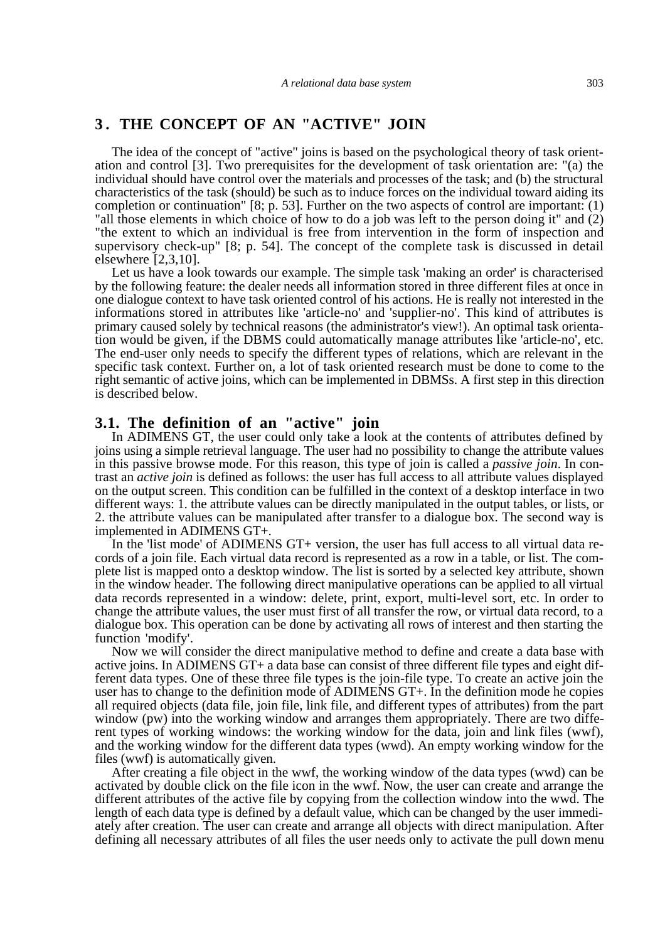## **3 . THE CONCEPT OF AN "ACTIVE" JOIN**

The idea of the concept of "active" joins is based on the psychological theory of task orientation and control [3]. Two prerequisites for the development of task orientation are: "(a) the individual should have control over the materials and processes of the task; and (b) the structural characteristics of the task (should) be such as to induce forces on the individual toward aiding its completion or continuation" [8; p. 53]. Further on the two aspects of control are important: (1) "all those elements in which choice of how to do a job was left to the person doing it" and (2) "the extent to which an individual is free from intervention in the form of inspection and supervisory check-up" [8; p. 54]. The concept of the complete task is discussed in detail elsewhere [2,3,10].

Let us have a look towards our example. The simple task 'making an order' is characterised by the following feature: the dealer needs all information stored in three different files at once in one dialogue context to have task oriented control of his actions. He is really not interested in the informations stored in attributes like 'article-no' and 'supplier-no'. This kind of attributes is primary caused solely by technical reasons (the administrator's view!). An optimal task orientation would be given, if the DBMS could automatically manage attributes like 'article-no', etc. The end-user only needs to specify the different types of relations, which are relevant in the specific task context. Further on, a lot of task oriented research must be done to come to the right semantic of active joins, which can be implemented in DBMSs. A first step in this direction is described below.

#### **3.1. The definition of an "active" join**

In ADIMENS GT, the user could only take a look at the contents of attributes defined by joins using a simple retrieval language. The user had no possibility to change the attribute values in this passive browse mode. For this reason, this type of join is called a *passive join*. In contrast an *active join* is defined as follows: the user has full access to all attribute values displayed on the output screen. This condition can be fulfilled in the context of a desktop interface in two different ways: 1. the attribute values can be directly manipulated in the output tables, or lists, or 2. the attribute values can be manipulated after transfer to a dialogue box. The second way is implemented in ADIMENS GT+.

In the 'list mode' of ADIMENS GT+ version, the user has full access to all virtual data records of a join file. Each virtual data record is represented as a row in a table, or list. The complete list is mapped onto a desktop window. The list is sorted by a selected key attribute, shown in the window header. The following direct manipulative operations can be applied to all virtual data records represented in a window: delete, print, export, multi-level sort, etc. In order to change the attribute values, the user must first of all transfer the row, or virtual data record, to a dialogue box. This operation can be done by activating all rows of interest and then starting the function 'modify'.

Now we will consider the direct manipulative method to define and create a data base with active joins. In ADIMENS GT+ a data base can consist of three different file types and eight different data types. One of these three file types is the join-file type. To create an active join the user has to change to the definition mode of ADIMENS GT+. In the definition mode he copies all required objects (data file, join file, link file, and different types of attributes) from the part window (pw) into the working window and arranges them appropriately. There are two different types of working windows: the working window for the data, join and link files (wwf), and the working window for the different data types (wwd). An empty working window for the files (wwf) is automatically given.

After creating a file object in the wwf, the working window of the data types (wwd) can be activated by double click on the file icon in the wwf. Now, the user can create and arrange the different attributes of the active file by copying from the collection window into the wwd. The length of each data type is defined by a default value, which can be changed by the user immediately after creation. The user can create and arrange all objects with direct manipulation. After defining all necessary attributes of all files the user needs only to activate the pull down menu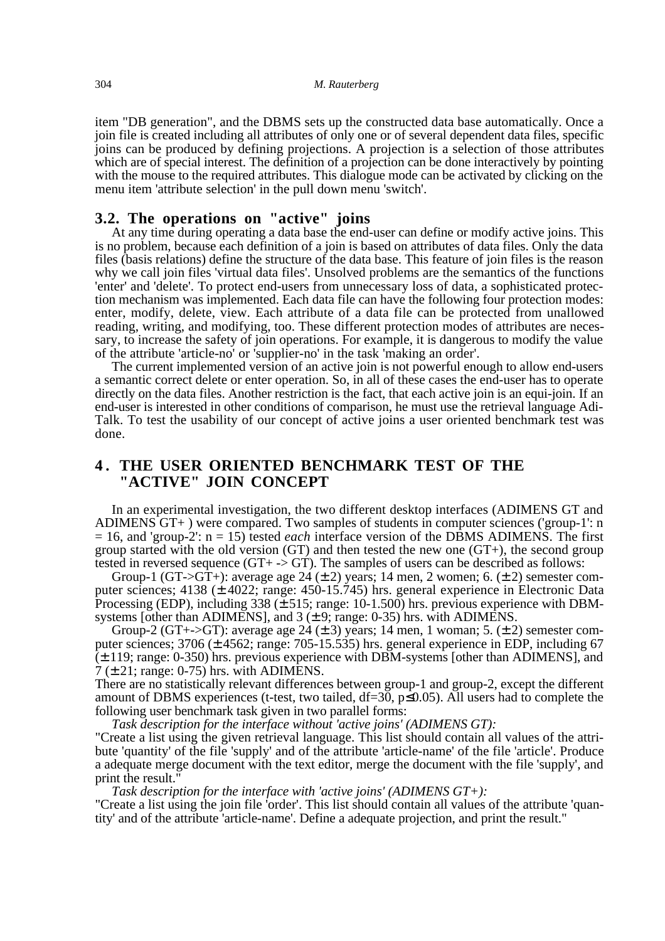item "DB generation", and the DBMS sets up the constructed data base automatically. Once a join file is created including all attributes of only one or of several dependent data files, specific joins can be produced by defining projections. A projection is a selection of those attributes which are of special interest. The definition of a projection can be done interactively by pointing with the mouse to the required attributes. This dialogue mode can be activated by clicking on the menu item 'attribute selection' in the pull down menu 'switch'.

#### **3.2. The operations on "active" joins**

At any time during operating a data base the end-user can define or modify active joins. This is no problem, because each definition of a join is based on attributes of data files. Only the data files (basis relations) define the structure of the data base. This feature of join files is the reason why we call join files 'virtual data files'. Unsolved problems are the semantics of the functions 'enter' and 'delete'. To protect end-users from unnecessary loss of data, a sophisticated protection mechanism was implemented. Each data file can have the following four protection modes: enter, modify, delete, view. Each attribute of a data file can be protected from unallowed reading, writing, and modifying, too. These different protection modes of attributes are necessary, to increase the safety of join operations. For example, it is dangerous to modify the value of the attribute 'article-no' or 'supplier-no' in the task 'making an order'.

The current implemented version of an active join is not powerful enough to allow end-users a semantic correct delete or enter operation. So, in all of these cases the end-user has to operate directly on the data files. Another restriction is the fact, that each active join is an equi-join. If an end-user is interested in other conditions of comparison, he must use the retrieval language Adi-Talk. To test the usability of our concept of active joins a user oriented benchmark test was done.

## **4 . THE USER ORIENTED BENCHMARK TEST OF THE "ACTIVE" JOIN CONCEPT**

In an experimental investigation, the two different desktop interfaces (ADIMENS GT and ADIMENS GT+ ) were compared. Two samples of students in computer sciences ('group-1': n = 16, and 'group-2': n = 15) tested *each* interface version of the DBMS ADIMENS. The first group started with the old version  $(GT)$  and then tested the new one  $(GT+)$ , the second group tested in reversed sequence  $(T+ > GT)$ . The samples of users can be described as follows:

Group-1 (GT->GT+): average age 24  $(\pm 2)$  years; 14 men, 2 women; 6.  $(\pm 2)$  semester computer sciences; 4138 (± 4022; range: 450-15.745) hrs. general experience in Electronic Data Processing (EDP), including 338  $(\pm 515)$ ; range: 10-1.500) hrs. previous experience with DBMsystems [other than ADIMENS], and  $3 (\pm 9; \text{range}; 0-35)$  hrs. with ADIMENS.

Group-2 (GT+->GT): average age 24 ( $\pm$  3) years; 14 men, 1 woman; 5. ( $\pm$  2) semester computer sciences;  $3706 \pm 4562$ ; range:  $705-15.535$ ) hrs. general experience in EDP, including 67 (± 119; range: 0-350) hrs. previous experience with DBM-systems [other than ADIMENS], and  $7$  ( $\pm$  21; range: 0-75) hrs. with ADIMENS.

There are no statistically relevant differences between group-1 and group-2, except the different amount of DBMS experiences (t-test, two tailed,  $df=30$ ,  $p\leq 0.05$ ). All users had to complete the following user benchmark task given in two parallel forms:

*Task description for the interface without 'active joins' (ADIMENS GT):* 

"Create a list using the given retrieval language. This list should contain all values of the attribute 'quantity' of the file 'supply' and of the attribute 'article-name' of the file 'article'. Produce a adequate merge document with the text editor, merge the document with the file 'supply', and print the result."

*Task description for the interface with 'active joins' (ADIMENS GT+):* 

"Create a list using the join file 'order'. This list should contain all values of the attribute 'quantity' and of the attribute 'article-name'. Define a adequate projection, and print the result."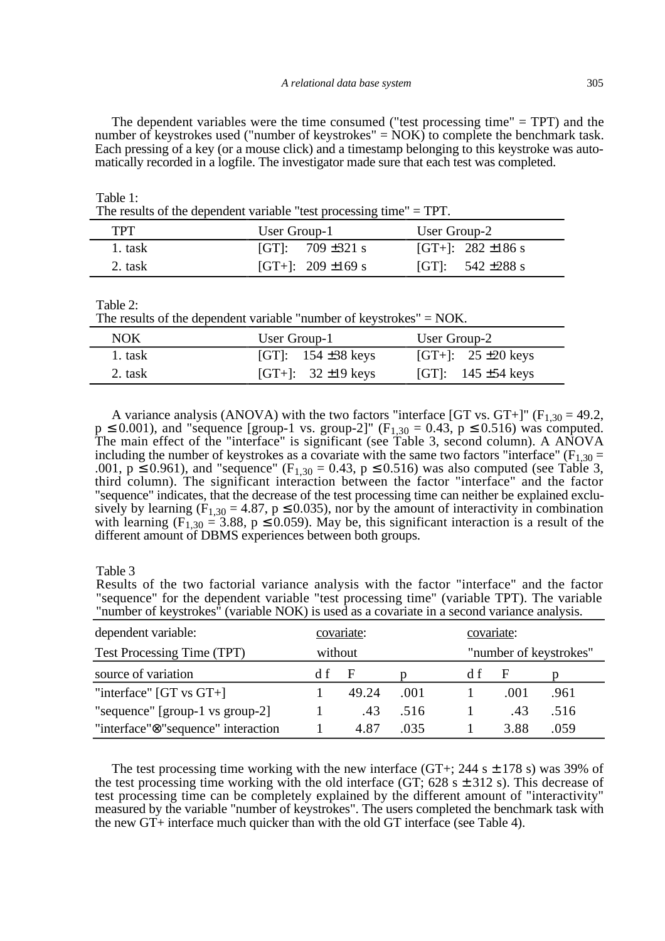The dependent variables were the time consumed ("test processing time" = TPT) and the number of keystrokes used ("number of keystrokes" = NOK) to complete the benchmark task. Each pressing of a key (or a mouse click) and a timestamp belonging to this keystroke was automatically recorded in a logfile. The investigator made sure that each test was completed.

| The results of the dependent variable "test processing time" $= TPT$ . |                        |                        |  |  |
|------------------------------------------------------------------------|------------------------|------------------------|--|--|
| <b>TPT</b>                                                             | User Group-1           | User Group-2           |  |  |
| 1. task                                                                | [GT]: $709 \pm 321$ s  | [GT+]: $282 \pm 186$ s |  |  |
| 2. task                                                                | [GT+]: $209 \pm 169$ s | [GT]: $542 \pm 288$ s  |  |  |

Table 2:

Table 1:

|         | The results of the dependent variable "number of keystrokes" $=$ NOK. |              |                                 |
|---------|-----------------------------------------------------------------------|--------------|---------------------------------|
| NOK     | User Group-1                                                          | User Group-2 |                                 |
| 1. task | [GT]: $154 \pm 38$ keys                                               |              | [GT+]: $25 \pm 20 \text{ keys}$ |

| 2. task                                                                                                        | [GT+]: $32 \pm 19$ keys | [GT]: $145 \pm 54$ keys |  |
|----------------------------------------------------------------------------------------------------------------|-------------------------|-------------------------|--|
|                                                                                                                |                         |                         |  |
| A variance analysis (ANOVA) with the two factors "interface [GT vs. GT+]" ( $F_{1,30} = 49.2$ ,                |                         |                         |  |
| $p \le 0.001$ ), and "sequence [group-1 vs. group-2]" (F <sub>1.30</sub> = 0.43, p $\le 0.516$ ) was computed. |                         |                         |  |
| The main effect of the "interface" is significant (see Table 3, second column). A ANOVA                        |                         |                         |  |
| including the number of keystrokes as a covariate with the same two factors "interface" ( $F_{1,30}$ =         |                         |                         |  |
| .001, $p \le 0.961$ ), and "sequence" ( $F_{1,30} = 0.43$ , $p \le 0.516$ ) was also computed (see Table 3,    |                         |                         |  |
| third column). The significant interaction between the factor "interface" and the factor                       |                         |                         |  |

"sequence" indicates, that the decrease of the test processing time can neither be explained exclusively by learning (F<sub>1,30</sub> = 4.87, p  $\leq$  0.035), nor by the amount of interactivity in combination with learning ( $\widetilde{F_{1,30}} = 3.88$ , p  $\leq 0.059$ ). May be, this significant interaction is a result of the different amount of DBMS experiences between both groups.

Table 3

Results of the two factorial variance analysis with the factor "interface" and the factor "sequence" for the dependent variable "test processing time" (variable TPT). The variable "number of keystrokes" (variable NOK) is used as a covariate in a second variance analysis.

| dependent variable:                             | covariate: |       |      | covariate: |                        |      |
|-------------------------------------------------|------------|-------|------|------------|------------------------|------|
| Test Processing Time (TPT)                      | without    |       |      |            | "number of keystrokes" |      |
| source of variation                             | d t        | F     |      | d t        | F                      |      |
| "interface" $[GT vs GT+]$                       |            | 49.24 | .001 |            | .001                   | .961 |
| "sequence" [group-1 vs group-2]                 |            | .43   | .516 |            | .43                    | .516 |
| "interface" <sup>®</sup> "sequence" interaction |            | 4.87  | .035 |            | 3.88                   | .059 |

The test processing time working with the new interface (GT+; 244 s  $\pm$  178 s) was 39% of the test processing time working with the old interface (GT;  $628 \text{ s} \pm 312 \text{ s}$ ). This decrease of test processing time can be completely explained by the different amount of "interactivity" measured by the variable "number of keystrokes". The users completed the benchmark task with the new GT+ interface much quicker than with the old GT interface (see Table 4).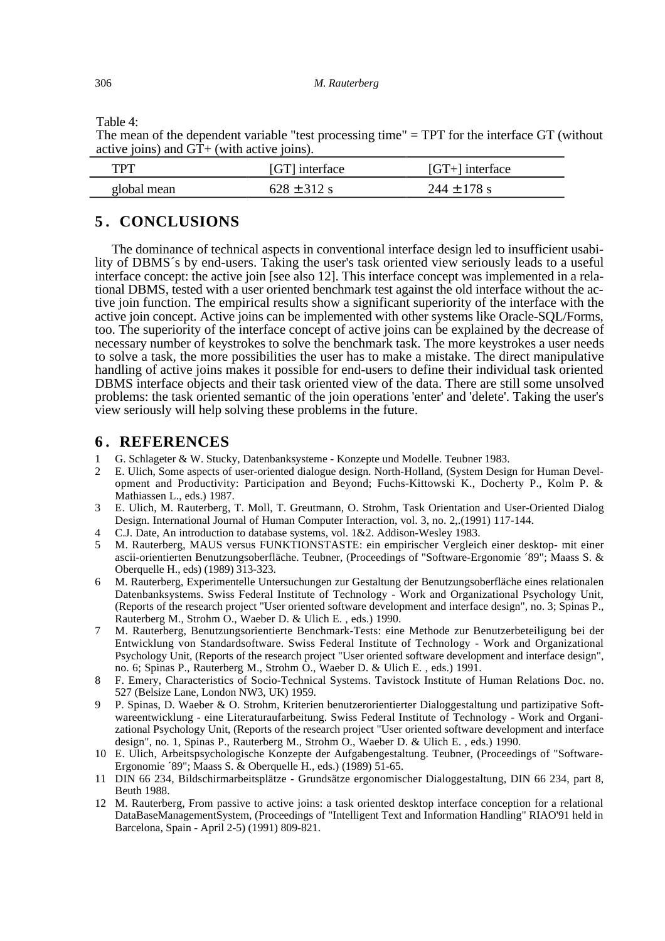Table 4:

The mean of the dependent variable "test processing time" = TPT for the interface GT (without active joins) and GT+ (with active joins).

| TPT         | [GT] interface  | $[GT+]$ interface |
|-------------|-----------------|-------------------|
| global mean | $628 \pm 312$ s | $244 \pm 178$ s   |

# **5 . CONCLUSIONS**

The dominance of technical aspects in conventional interface design led to insufficient usability of DBMS´s by end-users. Taking the user's task oriented view seriously leads to a useful interface concept: the active join [see also 12]. This interface concept was implemented in a relational DBMS, tested with a user oriented benchmark test against the old interface without the active join function. The empirical results show a significant superiority of the interface with the active join concept. Active joins can be implemented with other systems like Oracle-SQL/Forms, too. The superiority of the interface concept of active joins can be explained by the decrease of necessary number of keystrokes to solve the benchmark task. The more keystrokes a user needs to solve a task, the more possibilities the user has to make a mistake. The direct manipulative handling of active joins makes it possible for end-users to define their individual task oriented DBMS interface objects and their task oriented view of the data. There are still some unsolved problems: the task oriented semantic of the join operations 'enter' and 'delete'. Taking the user's view seriously will help solving these problems in the future.

## **6 . REFERENCES**

- 1 G. Schlageter & W. Stucky, Datenbanksysteme Konzepte und Modelle. Teubner 1983.
- 2 E. Ulich, Some aspects of user-oriented dialogue design. North-Holland, (System Design for Human Development and Productivity: Participation and Beyond; Fuchs-Kittowski K., Docherty P., Kolm P. & Mathiassen L., eds.) 1987.
- 3 E. Ulich, M. Rauterberg, T. Moll, T. Greutmann, O. Strohm, Task Orientation and User-Oriented Dialog Design. International Journal of Human Computer Interaction, vol. 3, no. 2,.(1991) 117-144.
- 4 C.J. Date, An introduction to database systems, vol. 1&2. Addison-Wesley 1983.
- 5 M. Rauterberg, MAUS versus FUNKTIONSTASTE: ein empirischer Vergleich einer desktop- mit einer ascii-orientierten Benutzungsoberfläche. Teubner, (Proceedings of "Software-Ergonomie ´89"; Maass S. & Oberquelle H., eds) (1989) 313-323.
- 6 M. Rauterberg, Experimentelle Untersuchungen zur Gestaltung der Benutzungsoberfläche eines relationalen Datenbanksystems. Swiss Federal Institute of Technology - Work and Organizational Psychology Unit, (Reports of the research project "User oriented software development and interface design", no. 3; Spinas P., Rauterberg M., Strohm O., Waeber D. & Ulich E. , eds.) 1990.
- 7 M. Rauterberg, Benutzungsorientierte Benchmark-Tests: eine Methode zur Benutzerbeteiligung bei der Entwicklung von Standardsoftware. Swiss Federal Institute of Technology - Work and Organizational Psychology Unit, (Reports of the research project "User oriented software development and interface design", no. 6; Spinas P., Rauterberg M., Strohm O., Waeber D. & Ulich E. , eds.) 1991.
- 8 F. Emery, Characteristics of Socio-Technical Systems. Tavistock Institute of Human Relations Doc. no. 527 (Belsize Lane, London NW3, UK) 1959.
- 9 P. Spinas, D. Waeber & O. Strohm, Kriterien benutzerorientierter Dialoggestaltung und partizipative Softwareentwicklung - eine Literaturaufarbeitung. Swiss Federal Institute of Technology - Work and Organizational Psychology Unit, (Reports of the research project "User oriented software development and interface design", no. 1, Spinas P., Rauterberg M., Strohm O., Waeber D. & Ulich E. , eds.) 1990.
- 10 E. Ulich, Arbeitspsychologische Konzepte der Aufgabengestaltung. Teubner, (Proceedings of "Software-Ergonomie ´89"; Maass S. & Oberquelle H., eds.) (1989) 51-65.
- 11 DIN 66 234, Bildschirmarbeitsplätze Grundsätze ergonomischer Dialoggestaltung, DIN 66 234, part 8, Beuth 1988.
- 12 M. Rauterberg, From passive to active joins: a task oriented desktop interface conception for a relational DataBaseManagementSystem, (Proceedings of "Intelligent Text and Information Handling" RIAO'91 held in Barcelona, Spain - April 2-5) (1991) 809-821.